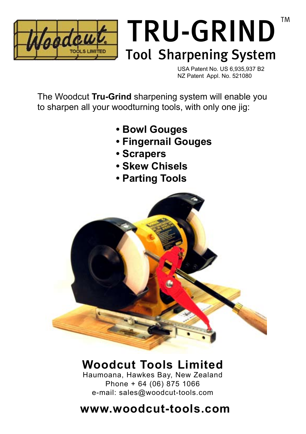

# TRU-GRIND Tool Sharpening System

USA Patent No. US 6,935,937 B2 NZ Patent Appl. No. 521080

TM

The Woodcut **Tru-Grind** sharpening system will enable you to sharpen all your woodturning tools, with only one jig:

- **• Bowl Gouges**
- **• Fingernail Gouges**
- **• Scrapers**
- **• Skew Chisels**
- **• Parting Tools**



# **Woodcut Tools Limited**

Haumoana, Hawkes Bay, New Zealand Phone + 64 (06) 875 1066 e-mail: sales@woodcut-tools.com

# **www.woodcut-tools.com**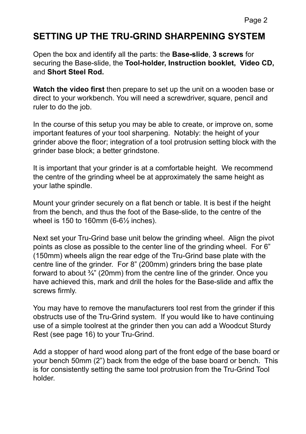#### **SETTING UP THE TRU-GRIND SHARPENING SYSTEM**

Open the box and identify all the parts: the **Base-slide**, **3 screws** for securing the Base-slide, the **Tool-holder, Instruction booklet, Video CD,** and **Short Steel Rod.**

**Watch the video first** then prepare to set up the unit on a wooden base or direct to your workbench. You will need a screwdriver, square, pencil and ruler to do the job.

In the course of this setup you may be able to create, or improve on, some important features of your tool sharpening. Notably: the height of your grinder above the floor; integration of a tool protrusion setting block with the grinder base block; a better grindstone.

It is important that your grinder is at a comfortable height. We recommend the centre of the grinding wheel be at approximately the same height as your lathe spindle.

Mount your grinder securely on a flat bench or table. It is best if the height from the bench, and thus the foot of the Base-slide, to the centre of the wheel is 150 to 160mm (6-6½ inches).

Next set your Tru-Grind base unit below the grinding wheel. Align the pivot points as close as possible to the center line of the grinding wheel. For 6" (150mm) wheels align the rear edge of the Tru-Grind base plate with the centre line of the grinder. For 8" (200mm) grinders bring the base plate forward to about ¾" (20mm) from the centre line of the grinder. Once you have achieved this, mark and drill the holes for the Base-slide and affix the screws firmly.

You may have to remove the manufacturers tool rest from the grinder if this obstructs use of the Tru-Grind system. If you would like to have continuing use of a simple toolrest at the grinder then you can add a Woodcut Sturdy Rest (see page 16) to your Tru-Grind.

Add a stopper of hard wood along part of the front edge of the base board or your bench 50mm (2") back from the edge of the base board or bench. This is for consistently setting the same tool protrusion from the Tru-Grind Tool holder.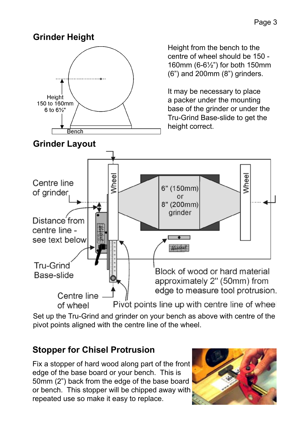#### **Grinder Height**

**Grinder Layout**



Height from the bench to the centre of wheel should be 150 - 160mm (6-6½") for both 150mm (6") and 200mm (8") grinders.

It may be necessary to place a packer under the mounting base of the grinder or under the Tru-Grind Base-slide to get the height correct.



Set up the Tru-Grind and grinder on your bench as above with centre of the pivot points aligned with the centre line of the wheel.

### **Stopper for Chisel Protrusion**

Fix a stopper of hard wood along part of the front edge of the base board or your bench. This is 50mm (2") back from the edge of the base board or bench. This stopper will be chipped away with repeated use so make it easy to replace.

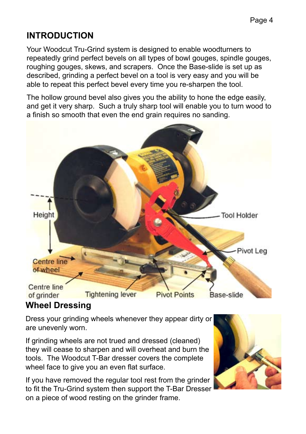### **INTRODUCTION**

Your Woodcut Tru-Grind system is designed to enable woodturners to repeatedly grind perfect bevels on all types of bowl gouges, spindle gouges, roughing gouges, skews, and scrapers. Once the Base-slide is set up as described, grinding a perfect bevel on a tool is very easy and you will be able to repeat this perfect bevel every time you re-sharpen the tool.

The hollow ground bevel also gives you the ability to hone the edge easily, and get it very sharp. Such a truly sharp tool will enable you to turn wood to a finish so smooth that even the end grain requires no sanding.



#### **Wheel Dressing**

Dress your grinding wheels whenever they appear dirty or are unevenly worn.

If grinding wheels are not trued and dressed (cleaned) they will cease to sharpen and will overheat and burn the tools. The Woodcut T-Bar dresser covers the complete wheel face to give you an even flat surface.

If you have removed the regular tool rest from the grinder to fit the Tru-Grind system then support the T-Bar Dresser on a piece of wood resting on the grinder frame.

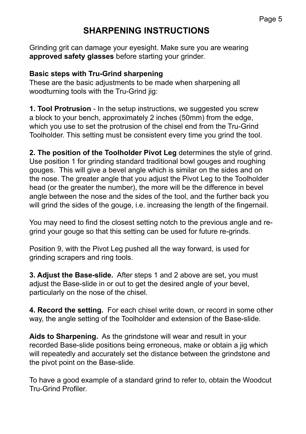#### **SHARPENING INSTRUCTIONS**

Grinding grit can damage your eyesight. Make sure you are wearing **approved safety glasses** before starting your grinder.

#### **Basic steps with Tru-Grind sharpening**

These are the basic adjustments to be made when sharpening all woodturning tools with the Tru-Grind jig:

**1. Tool Protrusion** - In the setup instructions, we suggested you screw a block to your bench, approximately 2 inches (50mm) from the edge, which you use to set the protrusion of the chisel end from the Tru-Grind Toolholder. This setting must be consistent every time you grind the tool.

**2. The position of the Toolholder Pivot Leg** determines the style of grind. Use position 1 for grinding standard traditional bowl gouges and roughing gouges. This will give a bevel angle which is similar on the sides and on the nose. The greater angle that you adjust the Pivot Leg to the Toolholder head (or the greater the number), the more will be the difference in bevel angle between the nose and the sides of the tool, and the further back you will grind the sides of the gouge, i.e. increasing the length of the fingernail.

You may need to find the closest setting notch to the previous angle and regrind your gouge so that this setting can be used for future re-grinds.

Position 9, with the Pivot Leg pushed all the way forward, is used for arinding scrapers and ring tools.

**3. Adjust the Base-slide.** After steps 1 and 2 above are set, you must adjust the Base-slide in or out to get the desired angle of your bevel, particularly on the nose of the chisel.

**4. Record the setting.** For each chisel write down, or record in some other way, the angle setting of the Toolholder and extension of the Base-slide.

**Aids to Sharpening.** As the grindstone will wear and result in your recorded Base-slide positions being erroneous, make or obtain a jig which will repeatedly and accurately set the distance between the grindstone and the pivot point on the Base-slide.

To have a good example of a standard grind to refer to, obtain the Woodcut Tru-Grind Profiler.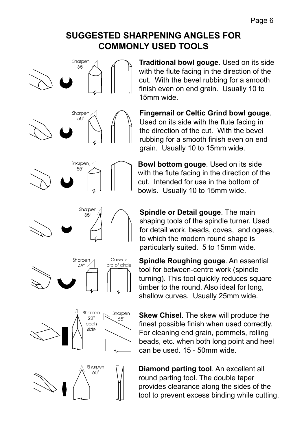#### **SUGGESTED SHARPENING ANGLES FOR COMMONLY USED TOOLS**



**Traditional bowl gouge**. Used on its side with the flute facing in the direction of the cut. With the bevel rubbing for a smooth finish even on end grain. Usually 10 to 15mm wide.

**Fingernail or Celtic Grind bowl gouge**. Used on its side with the flute facing in the direction of the cut. With the bevel rubbing for a smooth finish even on end grain. Usually 10 to 15mm wide.

**Bowl bottom gouge**. Used on its side with the flute facing in the direction of the cut. Intended for use in the bottom of bowls. Usually 10 to 15mm wide.

**Spindle or Detail gouge**. The main shaping tools of the spindle turner. Used for detail work, beads, coves, and ogees, to which the modern round shape is particularly suited. 5 to 15mm wide.

**Spindle Roughing gouge**. An essential tool for between-centre work (spindle turning). This tool quickly reduces square timber to the round. Also ideal for long, shallow curves. Usually 25mm wide.

**Skew Chisel**. The skew will produce the finest possible finish when used correctly. For cleaning end grain, pommels, rolling beads, etc. when both long point and heel can be used. 15 - 50mm wide.

**Diamond parting tool**. An excellent all round parting tool. The double taper provides clearance along the sides of the tool to prevent excess binding while cutting.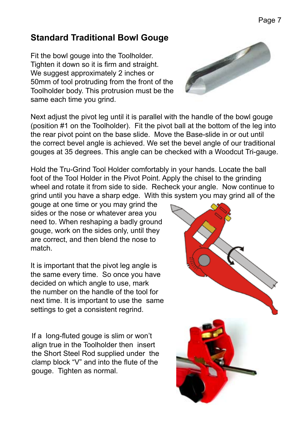#### **Standard Traditional Bowl Gouge**

Fit the bowl gouge into the Toolholder. Tighten it down so it is firm and straight. We suggest approximately 2 inches or 50mm of tool protruding from the front of the Toolholder body. This protrusion must be the same each time you grind.

Next adjust the pivot leg until it is parallel with the handle of the bowl gouge (position #1 on the Toolholder). Fit the pivot ball at the bottom of the leg into the rear pivot point on the base slide. Move the Base-slide in or out until the correct bevel angle is achieved. We set the bevel angle of our traditional gouges at 35 degrees. This angle can be checked with a Woodcut Tri-gauge.

Hold the Tru-Grind Tool Holder comfortably in your hands. Locate the ball foot of the Tool Holder in the Pivot Point. Apply the chisel to the grinding wheel and rotate it from side to side. Recheck your angle. Now continue to grind until you have a sharp edge. With this system you may grind all of the

gouge at one time or you may grind the sides or the nose or whatever area you need to. When reshaping a badly ground gouge, work on the sides only, until they are correct, and then blend the nose to match.

It is important that the pivot leg angle is the same every time. So once you have decided on which angle to use, mark the number on the handle of the tool for next time. It is important to use the same settings to get a consistent regrind.

If a long-fluted gouge is slim or won't align true in the Toolholder then insert the Short Steel Rod supplied under the clamp block "V" and into the flute of the gouge. Tighten as normal.



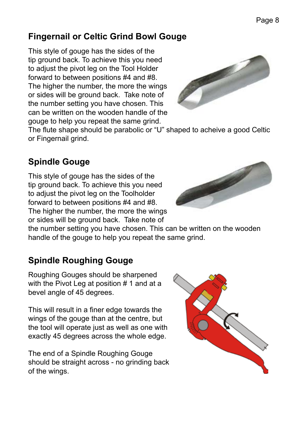#### **Fingernail or Celtic Grind Bowl Gouge**

This style of gouge has the sides of the tip ground back. To achieve this you need to adjust the pivot leg on the Tool Holder forward to between positions #4 and #8. The higher the number, the more the wings or sides will be ground back. Take note of the number setting you have chosen. This can be written on the wooden handle of the gouge to help you repeat the same grind.



The flute shape should be parabolic or "U" shaped to acheive a good Celtic or Fingernail grind.

#### **Spindle Gouge**

This style of gouge has the sides of the tip ground back. To achieve this you need to adjust the pivot leg on the Toolholder forward to between positions #4 and #8. The higher the number, the more the wings or sides will be ground back. Take note of

the number setting you have chosen. This can be written on the wooden handle of the gouge to help you repeat the same grind.

### **Spindle Roughing Gouge**

Roughing Gouges should be sharpened with the Pivot Leg at position # 1 and at a bevel angle of 45 degrees.

This will result in a finer edge towards the wings of the gouge than at the centre, but the tool will operate just as well as one with exactly 45 degrees across the whole edge.

The end of a Spindle Roughing Gouge should be straight across - no grinding back of the wings.



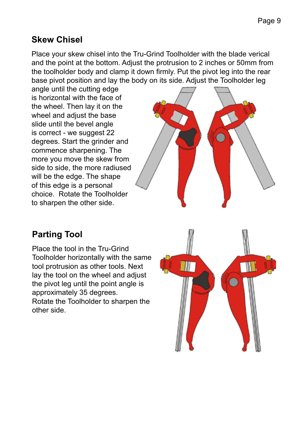#### **Skew Chisel**

Place your skew chisel into the Tru-Grind Toolholder with the blade verical and the point at the bottom. Adjust the protrusion to 2 inches or 50mm from the toolholder body and clamp it down firmly. Put the pivot leg into the rear base pivot position and lay the body on its side. Adjust the Toolholder leg

angle until the cutting edge is horizontal with the face of the wheel. Then lay it on the wheel and adjust the base slide until the bevel angle is correct - we suggest 22 degrees. Start the grinder and commence sharpening. The more you move the skew from side to side, the more radiused will be the edge. The shape of this edge is a personal choice. Rotate the Toolholder to sharpen the other side.



#### **Parting Tool**

Place the tool in the Tru-Grind Toolholder horizontally with the same tool protrusion as other tools. Next lay the tool on the wheel and adjust the pivot leg until the point angle is approximately 35 degrees. Rotate the Toolholder to sharpen the other side.

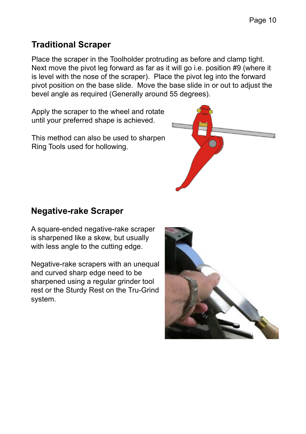#### **Traditional Scraper**

Place the scraper in the Toolholder protruding as before and clamp tight. Next move the pivot leg forward as far as it will go i.e. position #9 (where it is level with the nose of the scraper). Place the pivot leg into the forward pivot position on the base slide. Move the base slide in or out to adjust the bevel angle as required (Generally around 55 degrees).

Apply the scraper to the wheel and rotate until your preferred shape is achieved.

This method can also be used to sharpen Ring Tools used for hollowing.



#### **Negative-rake Scraper**

A square-ended negative-rake scraper is sharpened like a skew, but usually with less angle to the cutting edge.

Negative-rake scrapers with an unequal and curved sharp edge need to be sharpened using a regular grinder tool rest or the Sturdy Rest on the Tru-Grind system.

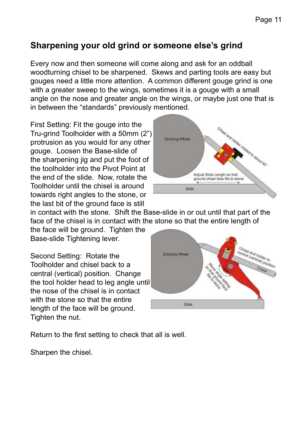#### **Sharpening your old grind or someone else's grind**

Every now and then someone will come along and ask for an oddball woodturning chisel to be sharpened. Skews and parting tools are easy but gouges need a little more attention. A common different gouge grind is one with a greater sweep to the wings, sometimes it is a gouge with a small angle on the nose and greater angle on the wings, or maybe just one that is in between the "standards" previously mentioned.

First Setting: Fit the gouge into the Tru-grind Toolholder with a 50mm (2") protrusion as you would for any other gouge. Loosen the Base-slide of the sharpening iig and put the foot of the toolholder into the Pivot Point at the end of the slide. Now, rotate the Toolholder until the chisel is around towards right angles to the stone, or the last bit of the ground face is still



in contact with the stone. Shift the Base-slide in or out until that part of the face of the chisel is in contact with the stone so that the entire length of

the face will be ground. Tighten the Base-slide Tightening lever.

Second Setting: Rotate the Toolholder and chisel back to a central (vertical) position. Change the tool holder head to leg angle until the nose of the chisel is in contact with the stone so that the entire length of the face will be ground. Tighten the nut.



Return to the first setting to check that all is well.

Sharpen the chisel.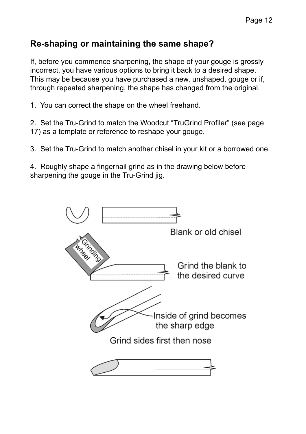#### **Re-shaping or maintaining the same shape?**

If, before you commence sharpening, the shape of your gouge is grossly incorrect, you have various options to bring it back to a desired shape. This may be because you have purchased a new, unshaped, gouge or if, through repeated sharpening, the shape has changed from the original.

1. You can correct the shape on the wheel freehand.

2. Set the Tru-Grind to match the Woodcut "TruGrind Profiler" (see page 17) as a template or reference to reshape your gouge.

3. Set the Tru-Grind to match another chisel in your kit or a borrowed one.

4. Roughly shape a fingernail grind as in the drawing below before sharpening the gouge in the Tru-Grind iig.

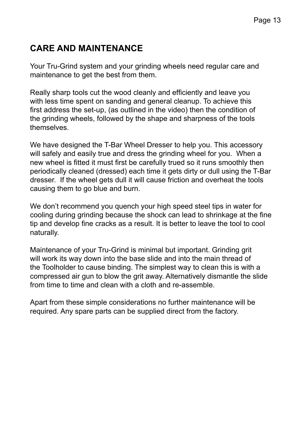#### **CARE AND MAINTENANCE**

Your Tru-Grind system and your grinding wheels need regular care and maintenance to get the best from them.

Really sharp tools cut the wood cleanly and efficiently and leave you with less time spent on sanding and general cleanup. To achieve this first address the set-up, (as outlined in the video) then the condition of the grinding wheels, followed by the shape and sharpness of the tools themselves.

We have designed the T-Bar Wheel Dresser to help you. This accessory will safely and easily true and dress the grinding wheel for you. When a new wheel is fitted it must first be carefully trued so it runs smoothly then periodically cleaned (dressed) each time it gets dirty or dull using the T-Bar dresser. If the wheel gets dull it will cause friction and overheat the tools causing them to go blue and burn.

We don't recommend you quench your high speed steel tips in water for cooling during grinding because the shock can lead to shrinkage at the fine tip and develop fine cracks as a result. It is better to leave the tool to cool naturally.

Maintenance of your Tru-Grind is minimal but important. Grinding grit will work its way down into the base slide and into the main thread of the Toolholder to cause binding. The simplest way to clean this is with a compressed air gun to blow the grit away. Alternatively dismantle the slide from time to time and clean with a cloth and re-assemble.

Apart from these simple considerations no further maintenance will be required. Any spare parts can be supplied direct from the factory.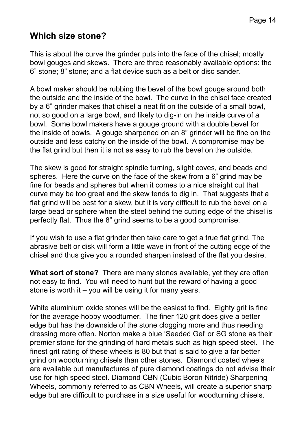#### **Which size stone?**

This is about the curve the grinder puts into the face of the chisel; mostly bowl gouges and skews. There are three reasonably available options: the 6" stone; 8" stone; and a flat device such as a belt or disc sander.

A bowl maker should be rubbing the bevel of the bowl gouge around both the outside and the inside of the bowl. The curve in the chisel face created by a 6" grinder makes that chisel a neat fit on the outside of a small bowl, not so good on a large bowl, and likely to dig-in on the inside curve of a bowl. Some bowl makers have a gouge ground with a double bevel for the inside of bowls. A gouge sharpened on an 8" grinder will be fine on the outside and less catchy on the inside of the bowl. A compromise may be the flat grind but then it is not as easy to rub the bevel on the outside.

The skew is good for straight spindle turning, slight coves, and beads and spheres. Here the curve on the face of the skew from a 6" grind may be fine for beads and spheres but when it comes to a nice straight cut that curve may be too great and the skew tends to dig in. That suggests that a flat grind will be best for a skew, but it is very difficult to rub the bevel on a large bead or sphere when the steel behind the cutting edge of the chisel is perfectly flat. Thus the 8" grind seems to be a good compromise.

If you wish to use a flat grinder then take care to get a true flat grind. The abrasive belt or disk will form a little wave in front of the cutting edge of the chisel and thus give you a rounded sharpen instead of the flat you desire.

**What sort of stone?** There are many stones available, yet they are often not easy to find. You will need to hunt but the reward of having a good stone is worth it – you will be using it for many years.

White aluminium oxide stones will be the easiest to find. Eighty grit is fine for the average hobby woodturner. The finer 120 grit does give a better edge but has the downside of the stone clogging more and thus needing dressing more often. Norton make a blue 'Seeded Gel' or SG stone as their premier stone for the grinding of hard metals such as high speed steel. The finest grit rating of these wheels is 80 but that is said to give a far better grind on woodturning chisels than other stones. Diamond coated wheels are available but manufactures of pure diamond coatings do not advise their use for high speed steel. Diamond CBN (Cubic Boron Nitride) Sharpening Wheels, commonly referred to as CBN Wheels, will create a superior sharp edge but are difficult to purchase in a size useful for woodturning chisels.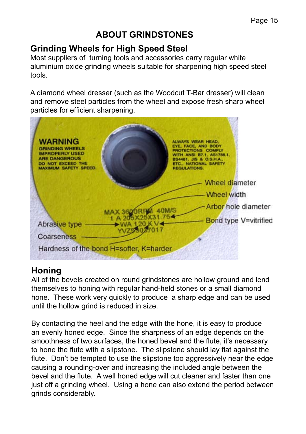#### **ABOUT GRINDSTONES**

#### **Grinding Wheels for High Speed Steel**

Most suppliers of turning tools and accessories carry regular white aluminium oxide grinding wheels suitable for sharpening high speed steel tools.

A diamond wheel dresser (such as the Woodcut T-Bar dresser) will clean and remove steel particles from the wheel and expose fresh sharp wheel particles for efficient sharpening.



#### **Honing**

All of the bevels created on round grindstones are hollow ground and lend themselves to honing with regular hand-held stones or a small diamond hone. These work very quickly to produce a sharp edge and can be used until the hollow grind is reduced in size.

By contacting the heel and the edge with the hone, it is easy to produce an evenly honed edge. Since the sharpness of an edge depends on the smoothness of two surfaces, the honed bevel and the flute, it's necessary to hone the flute with a slipstone. The slipstone should lay flat against the flute. Don't be tempted to use the slipstone too aggressively near the edge causing a rounding-over and increasing the included angle between the bevel and the flute. A well honed edge will cut cleaner and faster than one just off a grinding wheel. Using a hone can also extend the period between grinds considerably.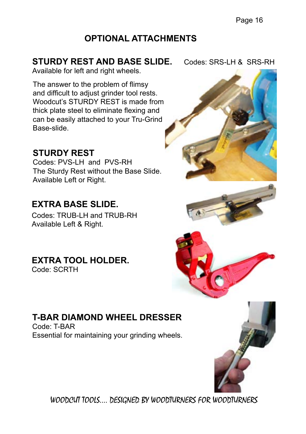Page 16

#### **OPTIONAL ATTACHMENTS**

#### **STURDY REST AND BASE SLIDE.** Codes: SRS-LH & SRS-RH

Available for left and right wheels.

The answer to the problem of flimsy and difficult to adjust grinder tool rests. Woodcut's STURDY REST is made from thick plate steel to eliminate flexing and can be easily attached to your Tru-Grind Base-slide.

#### **STURDY REST**

Codes: PVS-LH and PVS-RH The Sturdy Rest without the Base Slide. Available Left or Right.

#### **EXTRA BASE SLIDE.**

Codes: TRUB-LH and TRUB-RH Available Left & Right.

#### **EXTRA TOOL HOLDER.**

Code: SCRTH

#### **T-BAR DIAMOND WHEEL DRESSER**

Code: T-BAR Essential for maintaining your grinding wheels.







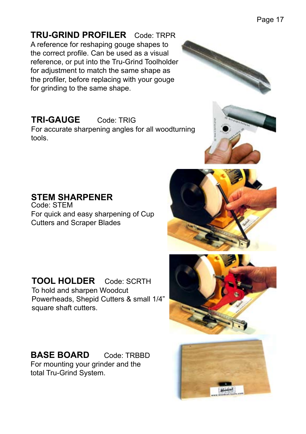**TRU-GRIND PROFILER** Code: TRPR A reference for reshaping gouge shapes to the correct profile. Can be used as a visual reference, or put into the Tru-Grind Toolholder for adjustment to match the same shape as the profiler, before replacing with your gouge for grinding to the same shape.

#### **TRI-GAUGE** Code: TRIG

For accurate sharpening angles for all woodturning tools.

**STEM SHARPENER** Code: STEM For quick and easy sharpening of Cup Cutters and Scraper Blades

**TOOL HOLDER** Code: SCRTH To hold and sharpen Woodcut Powerheads, Shepid Cutters & small 1/4" square shaft cutters.

**BASE BOARD** Code: TRBBD For mounting your grinder and the total Tru-Grind System.







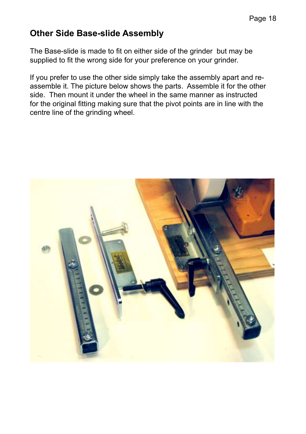#### **Other Side Base-slide Assembly**

The Base-slide is made to fit on either side of the grinder but may be supplied to fit the wrong side for your preference on your grinder.

If you prefer to use the other side simply take the assembly apart and reassemble it. The picture below shows the parts. Assemble it for the other side. Then mount it under the wheel in the same manner as instructed for the original fitting making sure that the pivot points are in line with the centre line of the grinding wheel.

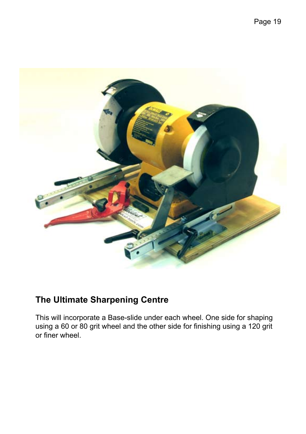

#### **The Ultimate Sharpening Centre**

This will incorporate a Base-slide under each wheel. One side for shaping using a 60 or 80 grit wheel and the other side for finishing using a 120 grit or finer wheel.